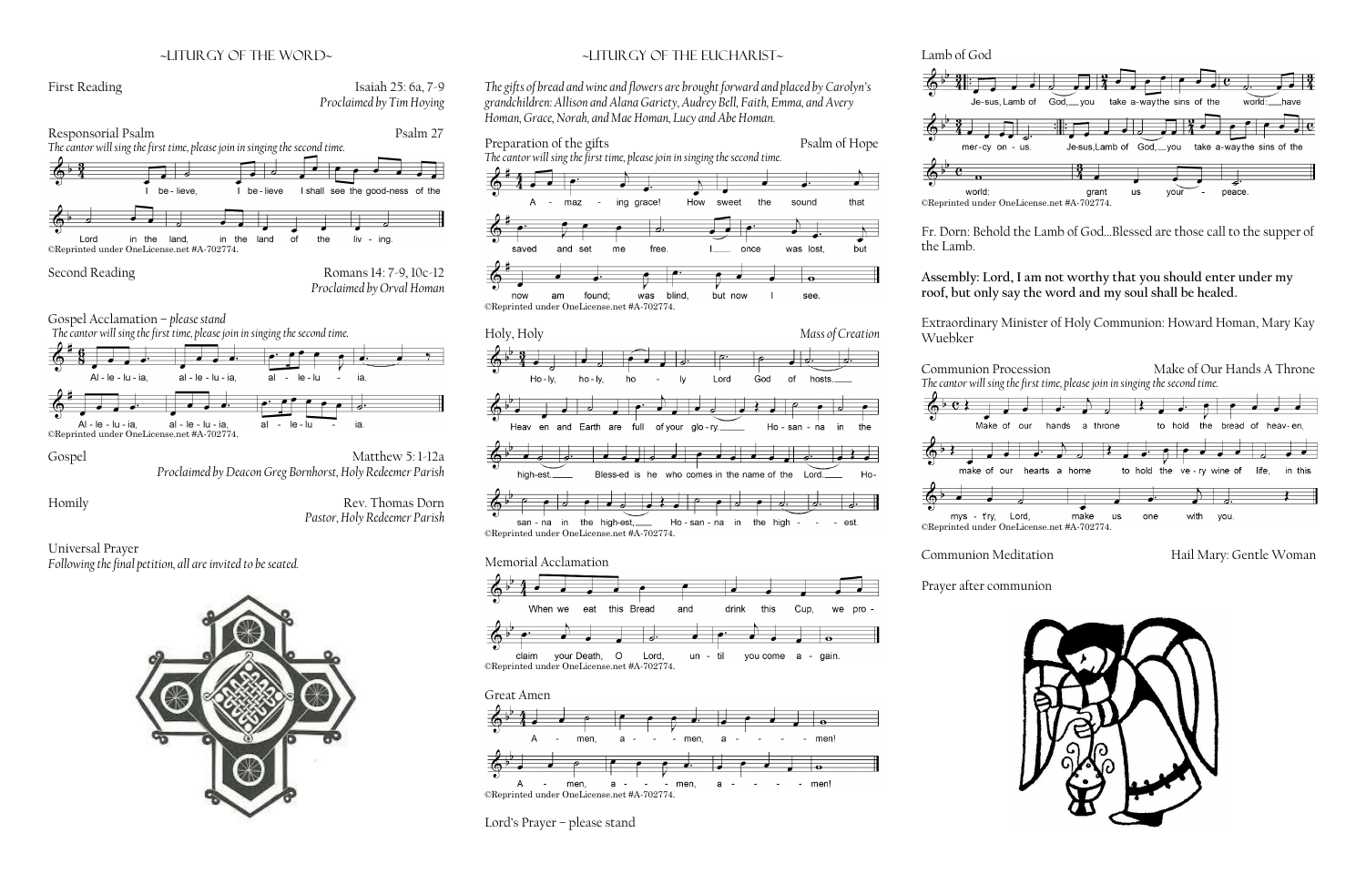### ~liturgy of the word~

# First Reading Isaiah 25: 6a, 7-9 *Proclaimed by Tim Hoying*



*Proclaimed by Deacon Greg Bornhorst, Holy Redeemer Parish*

Homily Rev. Thomas Dorn *Pastor, Holy Redeemer Parish*

Universal Prayer *Following the final petition, all are invited to be seated.*



## ~Liturgy of the Eucharist~







Lord's Prayer – please stand

Lamb of God





Fr. Dorn: Behold the Lamb of God…Blessed are those call to the supper of

the Lamb.

### **Assembly: Lord, I am not worthy that you should enter under my roof, but only say the word and my soul shall be healed.**

Extraordinary Minister of Holy Communion: Howard Homan, Mary Kay

Communion Meditation Hail Mary: Gentle Woman



Wuebker





Prayer after communion